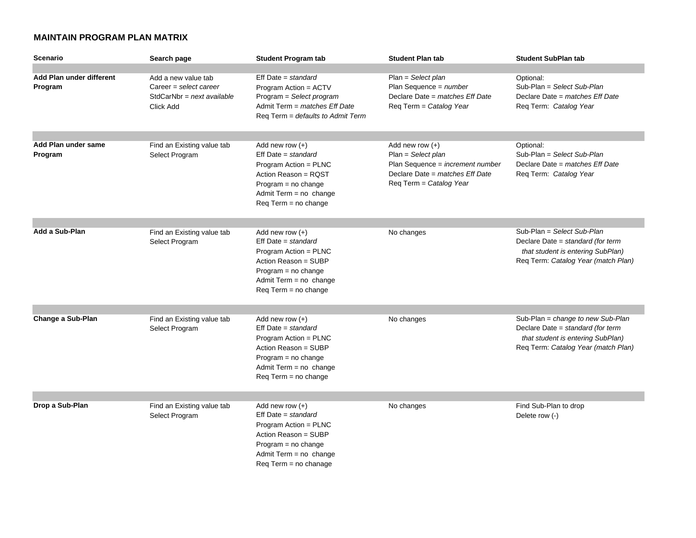## **MAINTAIN PROGRAM PLAN MATRIX**

| <b>Scenario</b>                     | Search page                                                                                | <b>Student Program tab</b>                                                                                                                                                             | <b>Student Plan tab</b>                                                                                                                     | <b>Student SubPlan tab</b>                                                                                                                         |
|-------------------------------------|--------------------------------------------------------------------------------------------|----------------------------------------------------------------------------------------------------------------------------------------------------------------------------------------|---------------------------------------------------------------------------------------------------------------------------------------------|----------------------------------------------------------------------------------------------------------------------------------------------------|
| Add Plan under different<br>Program | Add a new value tab<br>Career = select career<br>$StdCarNbr = next available$<br>Click Add | $Eff$ Date = standard<br>Program Action = ACTV<br>Program = Select program<br>Admit Term = matches Eff Date<br>Req Term = defaults to Admit Term                                       | $Plan = Select plan$<br>Plan Sequence = $number$<br>Declare Date = matches Eff Date<br>Req Term = Catalog Year                              | Optional:<br>Sub-Plan = Select Sub-Plan<br>Declare Date = matches Eff Date<br>Req Term: Catalog Year                                               |
| Add Plan under same<br>Program      | Find an Existing value tab<br>Select Program                                               | Add new row $(+)$<br>$Eff$ Date = standard<br>Program Action = PLNC<br>Action Reason = RQST<br>$Program = no change$<br>Admit Term = no change<br>$Req Term = no change$               | Add new row $(+)$<br>$Plan = Select plan$<br>Plan Sequence = increment number<br>Declare Date = matches Eff Date<br>Req Term = Catalog Year | Optional:<br>Sub-Plan = Select Sub-Plan<br>Declare Date = matches Eff Date<br>Req Term: Catalog Year                                               |
| Add a Sub-Plan                      | Find an Existing value tab<br>Select Program                                               | Add new row $(+)$<br>Eff Date = standard<br>Program Action = PLNC<br>Action Reason = SUBP<br>$Program = no change$<br>Admit Term = no change<br>$Req Term = no change$                 | No changes                                                                                                                                  | Sub-Plan = Select Sub-Plan<br>Declare Date = standard (for term<br>that student is entering SubPlan)<br>Req Term: Catalog Year (match Plan)        |
| Change a Sub-Plan                   | Find an Existing value tab<br>Select Program                                               | Add new row $(+)$<br>$Eff Date = standard$<br>Program Action = PLNC<br>Action Reason = SUBP<br>Program = no change<br>Admit Term = no change<br>Req Term = no change                   | No changes                                                                                                                                  | Sub-Plan = change to new Sub-Plan<br>Declare Date = standard (for term<br>that student is entering SubPlan)<br>Req Term: Catalog Year (match Plan) |
| Drop a Sub-Plan                     | Find an Existing value tab<br>Select Program                                               | Add new row $(+)$<br>$Eff Date = standard$<br>Program Action = PLNC<br>Action Reason = SUBP<br>$Program = no change$<br>Admit Term = no change<br>$\text{Req Term} = \text{no change}$ | No changes                                                                                                                                  | Find Sub-Plan to drop<br>Delete row (-)                                                                                                            |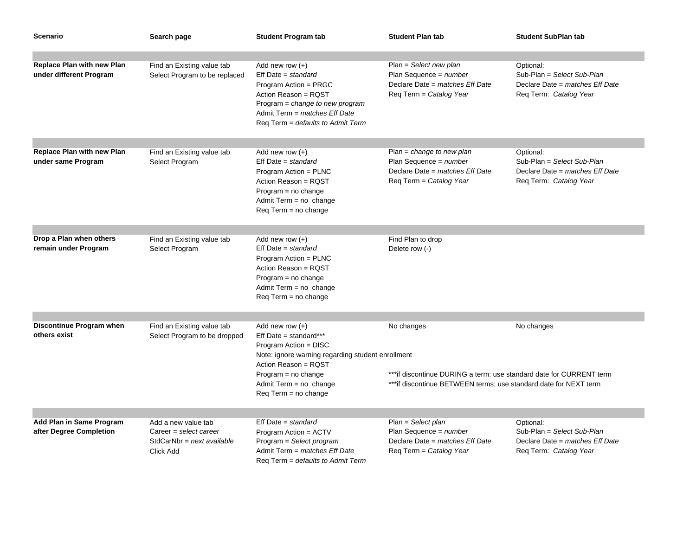| <b>Scenario</b>                                              | Search page                                                                                | <b>Student Program tab</b>                                                                                                                                                                                                                   | <b>Student Plan tab</b>                                                                                                                                               | <b>Student SubPlan tab</b>                                                                           |
|--------------------------------------------------------------|--------------------------------------------------------------------------------------------|----------------------------------------------------------------------------------------------------------------------------------------------------------------------------------------------------------------------------------------------|-----------------------------------------------------------------------------------------------------------------------------------------------------------------------|------------------------------------------------------------------------------------------------------|
|                                                              |                                                                                            |                                                                                                                                                                                                                                              |                                                                                                                                                                       |                                                                                                      |
| <b>Replace Plan with new Plan</b><br>under different Program | Find an Existing value tab<br>Select Program to be replaced                                | Add new row $(+)$<br>$Eff$ Date = standard<br>Program Action = PRGC<br>Action Reason = RQST<br>Program = change to new program<br>Admit Term = matches Eff Date<br>Req Term = defaults to Admit Term                                         | Plan = Select new plan<br>Plan Sequence = $number$<br>Declare Date = matches Eff Date<br>Reg Term = Catalog Year                                                      | Optional:<br>Sub-Plan = Select Sub-Plan<br>Declare Date = matches Eff Date<br>Reg Term: Catalog Year |
|                                                              |                                                                                            |                                                                                                                                                                                                                                              |                                                                                                                                                                       |                                                                                                      |
| <b>Replace Plan with new Plan</b><br>under same Program      | Find an Existing value tab<br>Select Program                                               | Add new row $(+)$<br>$Eff Date = standard$<br>Program Action = PLNC<br>Action Reason = RQST<br>Program = no change<br>Admit Term $=$ no change<br>Reg Term = no change                                                                       | Plan = $change$ to new plan<br>Plan Sequence = $number$<br>Declare Date = matches Eff Date<br>Req Term = Catalog Year                                                 | Optional:<br>Sub-Plan = Select Sub-Plan<br>Declare Date = matches Eff Date<br>Req Term: Catalog Year |
|                                                              |                                                                                            |                                                                                                                                                                                                                                              |                                                                                                                                                                       |                                                                                                      |
| Drop a Plan when others<br>remain under Program              | Find an Existing value tab<br>Select Program                                               | Add new row $(+)$<br>$Eff Date = standard$<br>Program Action = PLNC<br>Action Reason = RQST<br>$Program = no change$<br>Admit Term = no change<br>$\text{Req Term} = \text{no change}$                                                       | Find Plan to drop<br>Delete row (-)                                                                                                                                   |                                                                                                      |
|                                                              |                                                                                            |                                                                                                                                                                                                                                              |                                                                                                                                                                       |                                                                                                      |
| Discontinue Program when<br>others exist                     | Find an Existing value tab<br>Select Program to be dropped                                 | Add new row $(+)$<br>Eff Date = standard***<br>Program Action = DISC<br>Note: ignore warning regarding student enrollment<br>Action Reason = RQST<br>$Program = no change$<br>Admit Term = no change<br>$\text{Req Term} = \text{no change}$ | No changes<br>No changes<br>*** if discontinue DURING a term: use standard date for CURRENT term<br>*** if discontinue BETWEEN terms; use standard date for NEXT term |                                                                                                      |
|                                                              |                                                                                            |                                                                                                                                                                                                                                              |                                                                                                                                                                       |                                                                                                      |
| Add Plan in Same Program<br>after Degree Completion          | Add a new value tab<br>Career = select career<br>$StdCarNbr = next available$<br>Click Add | $Eff Date = standard$<br>Program Action = ACTV<br>Program = Select program<br>Admit Term = matches Eff Date<br>Reg Term = <i>defaults to Admit Term</i>                                                                                      | Plan = Select plan<br>Plan Sequence = $number$<br>Declare Date = matches Eff Date<br>Req Term = Catalog Year                                                          | Optional:<br>Sub-Plan = Select Sub-Plan<br>Declare Date = matches Eff Date<br>Req Term: Catalog Year |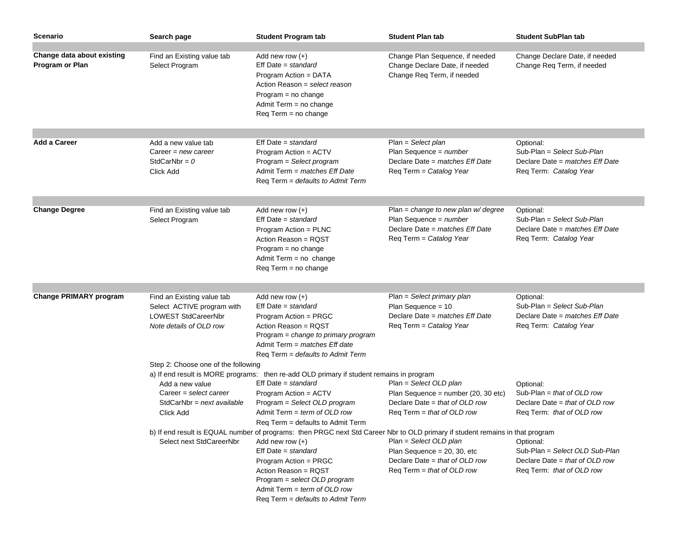| Scenario                                      | Search page                                                                                                | <b>Student Program tab</b>                                                                                                                                                                                                                                                                                                        | <b>Student Plan tab</b>                                                                                                                       | <b>Student SubPlan tab</b>                                                                                 |  |
|-----------------------------------------------|------------------------------------------------------------------------------------------------------------|-----------------------------------------------------------------------------------------------------------------------------------------------------------------------------------------------------------------------------------------------------------------------------------------------------------------------------------|-----------------------------------------------------------------------------------------------------------------------------------------------|------------------------------------------------------------------------------------------------------------|--|
| Change data about existing<br>Program or Plan | Find an Existing value tab<br>Select Program                                                               | Add new row $(+)$<br>Eff Date = standard<br>Program Action = DATA<br>Action Reason = select reason<br>Program = no change<br>Admit Term = no change<br>Req Term = no change                                                                                                                                                       | Change Plan Sequence, if needed<br>Change Declare Date, if needed<br>Change Req Term, if needed                                               | Change Declare Date, if needed<br>Change Req Term, if needed                                               |  |
| <b>Add a Career</b>                           | Add a new value tab<br>Career = $new \, career$<br>StdCarNbr = $0$<br>Click Add                            | $Eff$ Date = standard<br>Program Action = ACTV<br>Program = Select program<br>Admit Term = matches Eff Date<br>Req Term = defaults to Admit Term                                                                                                                                                                                  | $Plan = Select plan$<br>Plan Sequence = $number$<br>Declare Date = matches Eff Date<br>Req Term = Catalog Year                                | Optional:<br>Sub-Plan = Select Sub-Plan<br>Declare Date = matches Eff Date<br>Req Term: Catalog Year       |  |
|                                               |                                                                                                            |                                                                                                                                                                                                                                                                                                                                   |                                                                                                                                               |                                                                                                            |  |
| <b>Change Degree</b>                          | Find an Existing value tab<br>Select Program                                                               | Add new row $(+)$<br>Eff Date = standard<br>Program Action = PLNC<br>Action Reason = RQST<br>$Program = no change$<br>Admit Term = no change<br>$\text{Req Term} = \text{no change}$                                                                                                                                              | Plan = change to new plan $w$ degree<br>Plan Sequence = $number$<br>Declare Date = matches Eff Date<br>Req Term = Catalog Year                | Optional:<br>Sub-Plan = Select Sub-Plan<br>Declare Date = matches Eff Date<br>Req Term: Catalog Year       |  |
|                                               |                                                                                                            |                                                                                                                                                                                                                                                                                                                                   |                                                                                                                                               |                                                                                                            |  |
| <b>Change PRIMARY program</b>                 | Find an Existing value tab<br>Select ACTIVE program with<br>LOWEST StdCareerNbr<br>Note details of OLD row | Add new row $(+)$<br>$Eff Date = standard$<br>Program Action = PRGC<br>Action Reason = RQST<br>Program = change to primary program<br>Admit Term = matches Eff date<br>Req Term = defaults to Admit Term                                                                                                                          | Plan = Select primary plan<br>Plan Sequence = $10$<br>Declare Date = matches Eff Date<br>Req Term = Catalog Year                              | Optional:<br>Sub-Plan = Select Sub-Plan<br>Declare Date = matches Eff Date<br>Req Term: Catalog Year       |  |
|                                               | Step 2: Choose one of the following                                                                        |                                                                                                                                                                                                                                                                                                                                   |                                                                                                                                               |                                                                                                            |  |
|                                               | Add a new value<br>Career = select career<br>$StdCarNbr = next available$<br>Click Add                     | a) If end result is MORE programs: then re-add OLD primary if student remains in program<br>$Eff$ Date = standard<br>Program Action = ACTV<br>Program = Select OLD program<br>Admit Term = term of OLD row<br>Reg Term = defaults to Admit Term                                                                                   | Plan = Select OLD plan<br>Plan Sequence = number (20, 30 etc)<br>Declare Date = that of OLD row<br>$\text{Req Term} = \text{that of OLD row}$ | Optional:<br>Sub-Plan = that of OLD row<br>Declare Date = that of OLD row<br>Req Term: that of OLD row     |  |
|                                               | Select next StdCareerNbr                                                                                   | b) If end result is EQUAL number of programs: then PRGC next Std Career Nbr to OLD primary if student remains in that program<br>Add new row $(+)$<br>$Eff Date = standard$<br>Program Action = PRGC<br>Action Reason = RQST<br>Program = select OLD program<br>Admit Term = term of OLD row<br>Req Term = defaults to Admit Term | Plan = Select OLD plan<br>Plan Sequence = $20, 30$ , etc<br>Declare Date = that of OLD row<br>$\text{Req Term} = \text{that of OLD row}$      | Optional:<br>Sub-Plan = Select OLD Sub-Plan<br>Declare Date = that of OLD row<br>Reg Term: that of OLD row |  |